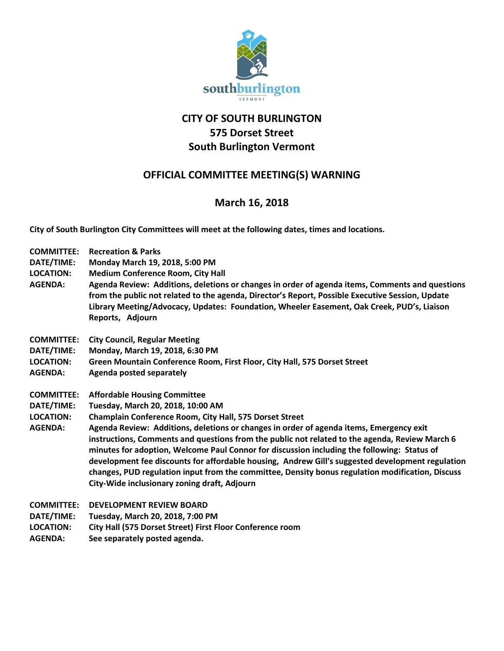

## **CITY OF SOUTH BURLINGTON 575 Dorset Street South Burlington Vermont**

## **OFFICIAL COMMITTEE MEETING(S) WARNING**

## **March 16, 2018**

**City of South Burlington City Committees will meet at the following dates, times and locations.** 

| <b>COMMITTEE:</b><br>DATE/TIME:<br><b>LOCATION:</b><br><b>AGENDA:</b> | <b>Recreation &amp; Parks</b><br>Monday March 19, 2018, 5:00 PM<br><b>Medium Conference Room, City Hall</b><br>Agenda Review: Additions, deletions or changes in order of agenda items, Comments and questions<br>from the public not related to the agenda, Director's Report, Possible Executive Session, Update<br>Library Meeting/Advocacy, Updates: Foundation, Wheeler Easement, Oak Creek, PUD's, Liaison<br>Reports, Adjourn                                                                                                             |
|-----------------------------------------------------------------------|--------------------------------------------------------------------------------------------------------------------------------------------------------------------------------------------------------------------------------------------------------------------------------------------------------------------------------------------------------------------------------------------------------------------------------------------------------------------------------------------------------------------------------------------------|
| <b>COMMITTEE:</b>                                                     | <b>City Council, Regular Meeting</b>                                                                                                                                                                                                                                                                                                                                                                                                                                                                                                             |
| DATE/TIME:                                                            | Monday, March 19, 2018, 6:30 PM                                                                                                                                                                                                                                                                                                                                                                                                                                                                                                                  |
| <b>LOCATION:</b>                                                      | Green Mountain Conference Room, First Floor, City Hall, 575 Dorset Street                                                                                                                                                                                                                                                                                                                                                                                                                                                                        |
| <b>AGENDA:</b>                                                        | Agenda posted separately                                                                                                                                                                                                                                                                                                                                                                                                                                                                                                                         |
| <b>COMMITTEE:</b>                                                     | <b>Affordable Housing Committee</b>                                                                                                                                                                                                                                                                                                                                                                                                                                                                                                              |
| DATE/TIME:                                                            | Tuesday, March 20, 2018, 10:00 AM                                                                                                                                                                                                                                                                                                                                                                                                                                                                                                                |
| <b>LOCATION:</b>                                                      | Champlain Conference Room, City Hall, 575 Dorset Street                                                                                                                                                                                                                                                                                                                                                                                                                                                                                          |
| <b>AGENDA:</b>                                                        | Agenda Review: Additions, deletions or changes in order of agenda items, Emergency exit<br>instructions, Comments and questions from the public not related to the agenda, Review March 6<br>minutes for adoption, Welcome Paul Connor for discussion including the following: Status of<br>development fee discounts for affordable housing, Andrew Gill's suggested development regulation<br>changes, PUD regulation input from the committee, Density bonus regulation modification, Discuss<br>City-Wide inclusionary zoning draft, Adjourn |
| <b>COMMITTEE:</b>                                                     | <b>DEVELOPMENT REVIEW BOARD</b>                                                                                                                                                                                                                                                                                                                                                                                                                                                                                                                  |
| DATE/TIME:                                                            | Tuesday, March 20, 2018, 7:00 PM                                                                                                                                                                                                                                                                                                                                                                                                                                                                                                                 |
| <b>LOCATION:</b>                                                      | City Hall (575 Dorset Street) First Floor Conference room                                                                                                                                                                                                                                                                                                                                                                                                                                                                                        |
| <b>AGENDA:</b>                                                        | See separately posted agenda.                                                                                                                                                                                                                                                                                                                                                                                                                                                                                                                    |